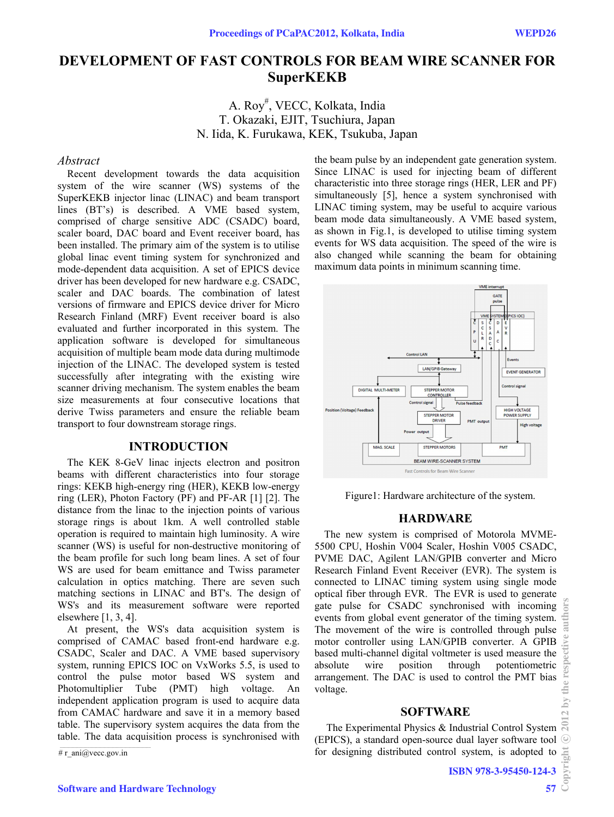# **DEVELOPMENT OF FAST CONTROLS FOR BEAM WIRE SCANNER FOR SuperKEKB**

A. Roy# , VECC, Kolkata, India T. Okazaki, EJIT, Tsuchiura, Japan N. Iida, K. Furukawa, KEK, Tsukuba, Japan

# *Abstract*

Recent development towards the data acquisition system of the wire scanner (WS) systems of the SuperKEKB injector linac (LINAC) and beam transport lines (BT's) is described. A VME based system, comprised of charge sensitive ADC (CSADC) board, scaler board, DAC board and Event receiver board, has been installed. The primary aim of the system is to utilise global linac event timing system for synchronized and mode-dependent data acquisition. A set of EPICS device driver has been developed for new hardware e.g. CSADC, scaler and DAC boards. The combination of latest versions of firmware and EPICS device driver for Micro Research Finland (MRF) Event receiver board is also evaluated and further incorporated in this system. The application software is developed for simultaneous acquisition of multiple beam mode data during multimode injection of the LINAC. The developed system is tested successfully after integrating with the existing wire scanner driving mechanism. The system enables the beam size measurements at four consecutive locations that derive Twiss parameters and ensure the reliable beam transport to four downstream storage rings.

## **INTRODUCTION**

The KEK 8-GeV linac injects electron and positron beams with different characteristics into four storage rings: KEKB high-energy ring (HER), KEKB low-energy ring (LER), Photon Factory (PF) and PF-AR [1] [2]. The distance from the linac to the injection points of various storage rings is about 1km. A well controlled stable operation is required to maintain high luminosity. A wire scanner (WS) is useful for non-destructive monitoring of the beam profile for such long beam lines. A set of four WS are used for beam emittance and Twiss parameter calculation in optics matching. There are seven such matching sections in LINAC and BT's. The design of WS's and its measurement software were reported elsewhere [1, 3, 4].

At present, the WS's data acquisition system is comprised of CAMAC based front-end hardware e.g. CSADC, Scaler and DAC. A VME based supervisory system, running EPICS IOC on VxWorks 5.5, is used to control the pulse motor based WS system and Photomultiplier Tube (PMT) high voltage. An independent application program is used to acquire data from CAMAC hardware and save it in a memory based table. The supervisory system acquires the data from the table. The data acquisition process is synchronised with

# r\_ani@vecc.gov.in

the beam pulse by an independent gate generation system. Since LINAC is used for injecting beam of different characteristic into three storage rings (HER, LER and PF) simultaneously [5], hence a system synchronised with LINAC timing system, may be useful to acquire various beam mode data simultaneously. A VME based system, as shown in Fig.1, is developed to utilise timing system events for WS data acquisition. The speed of the wire is also changed while scanning the beam for obtaining maximum data points in minimum scanning time.



Figure1: Hardware architecture of the system.

# **HARDWARE**

The new system is comprised of Motorola MVME-5500 CPU, Hoshin V004 Scaler, Hoshin V005 CSADC, PVME DAC, Agilent LAN/GPIB converter and Micro Research Finland Event Receiver (EVR). The system is connected to LINAC timing system using single mode optical fiber through EVR. The EVR is used to generate gate pulse for CSADC synchronised with incoming events from global event generator of the timing system. The movement of the wire is controlled through pulse motor controller using LAN/GPIB converter. A GPIB based multi-channel digital voltmeter is used measure the absolute wire position through potentiometric arrangement. The DAC is used to control the PMT bias voltage.

#### **SOFTWARE**

 The Experimental Physics & Industrial Control System (EPICS), a standard open-source dual layer software tool for designing distributed control system, is adopted to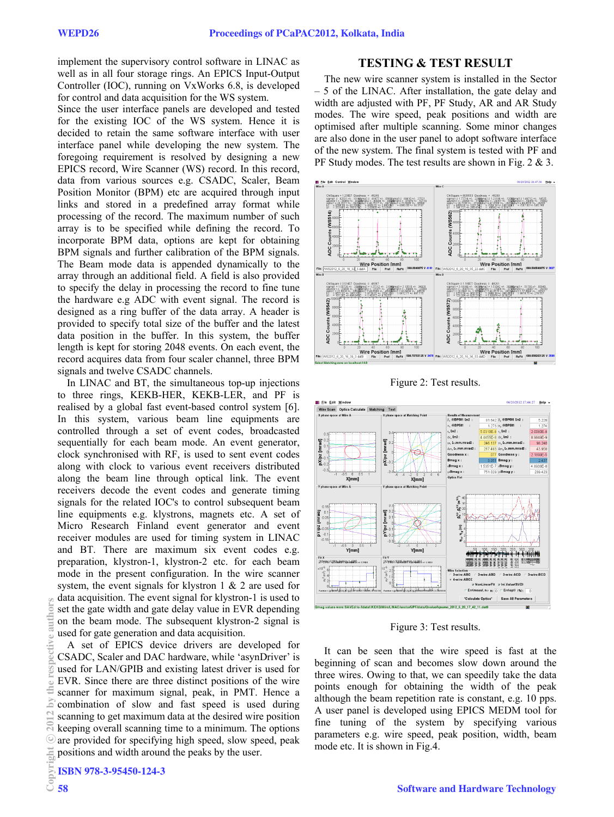implement the supervisory control software in LINAC as well as in all four storage rings. An EPICS Input-Output Controller (IOC), running on VxWorks 6.8, is developed for control and data acquisition for the WS system.

Since the user interface panels are developed and tested for the existing IOC of the WS system. Hence it is decided to retain the same software interface with user interface panel while developing the new system. The foregoing requirement is resolved by designing a new EPICS record, Wire Scanner (WS) record. In this record, data from various sources e.g. CSADC, Scaler, Beam Position Monitor (BPM) etc are acquired through input links and stored in a predefined array format while processing of the record. The maximum number of such array is to be specified while defining the record. To incorporate BPM data, options are kept for obtaining BPM signals and further calibration of the BPM signals. The Beam mode data is appended dynamically to the array through an additional field. A field is also provided to specify the delay in processing the record to fine tune the hardware e.g ADC with event signal. The record is designed as a ring buffer of the data array. A header is provided to specify total size of the buffer and the latest data position in the buffer. In this system, the buffer length is kept for storing 2048 events. On each event, the record acquires data from four scaler channel, three BPM signals and twelve CSADC channels.

In LINAC and BT, the simultaneous top-up injections to three rings, KEKB-HER, KEKB-LER, and PF is realised by a global fast event-based control system [6]. In this system, various beam line equipments are controlled through a set of event codes, broadcasted sequentially for each beam mode. An event generator, clock synchronised with RF, is used to sent event codes along with clock to various event receivers distributed along the beam line through optical link. The event receivers decode the event codes and generate timing signals for the related IOC's to control subsequent beam line equipments e.g. klystrons, magnets etc. A set of Micro Research Finland event generator and event receiver modules are used for timing system in LINAC and BT. There are maximum six event codes e.g. preparation, klystron-1, klystron-2 etc. for each beam mode in the present configuration. In the wire scanner system, the event signals for klystron 1 & 2 are used for data acquisition. The event signal for klystron-1 is used to set the gate width and gate delay value in EVR depending on the beam mode. The subsequent klystron-2 signal is used for gate generation and data acquisition.

A set of EPICS device drivers are developed for CSADC, Scaler and DAC hardware, while 'asynDriver' is used for LAN/GPIB and existing latest driver is used for EVR. Since there are three distinct positions of the wire scanner for maximum signal, peak, in PMT. Hence a combination of slow and fast speed is used during scanning to get maximum data at the desired wire position keeping overall scanning time to a minimum. The options are provided for specifying high speed, slow speed, peak positions and width around the peaks by the user.  $\frac{2012 \text{ by the respective authors}}{2 \text{ or } \text{se}}$  by the respective authors

# **TESTING & TEST RESULT**

The new wire scanner system is installed in the Sector – 5 of the LINAC. After installation, the gate delay and width are adjusted with PF, PF Study, AR and AR Study modes. The wire speed, peak positions and width are optimised after multiple scanning. Some minor changes are also done in the user panel to adopt software interface of the new system. The final system is tested with PF and PF Study modes. The test results are shown in Fig. 2 & 3.



Figure 2: Test results.



Figure 3: Test results.

It can be seen that the wire speed is fast at the beginning of scan and becomes slow down around the three wires. Owing to that, we can speedily take the data points enough for obtaining the width of the peak although the beam repetition rate is constant, e.g. 10 pps. A user panel is developed using EPICS MEDM tool for fine tuning of the system by specifying various parameters e.g. wire speed, peak position, width, beam mode etc. It is shown in Fig.4.

c○

 $\leq$ 3

ē a<sub>11</sub>